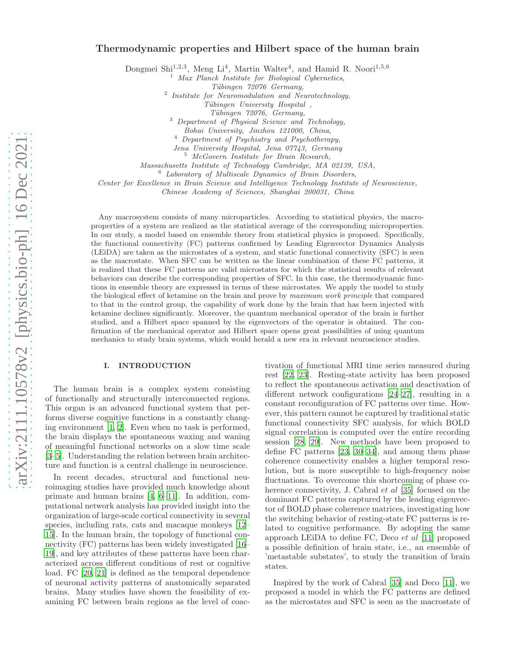# Thermodynamic properties and Hilbert space of the human brain

Dongmei Shi<sup>1,2,3</sup>, Meng Li<sup>4</sup>, Martin Walter<sup>4</sup>, and Hamid R. Noori<sup>1,5,6</sup>

 $<sup>1</sup>$  Max Planck Institute for Biological Cybernetics,</sup>

Tübingen 72076 Germany,

2 Institute for Neuromodulation and Neurotechnology,

Tübingen University Hospital, Tübingen 72076, Germany,

<sup>3</sup> Department of Physical Science and Technology,

Bohai University, Jinzhou 121000, China,

<sup>4</sup> Department of Psychiatry and Psychotherapy,

Jena University Hospital, Jena 07743, Germany

<sup>5</sup> McGovern Institute for Brain Research,

Massachusetts Institute of Technology Cambridge, MA 02139, USA,

 $6$  Laboratory of Multiscale Dynamics of Brain Disorders,

Center for Excellence in Brain Science and Intelligence Technology Institute of Neuroscience,

Chinese Academy of Sciences, Shanghai 200031, China

Any macrosystem consists of many microparticles. According to statistical physics, the macroproperties of a system are realized as the statistical average of the corresponding microproperties. In our study, a model based on ensemble theory from statistical physics is proposed. Specifically, the functional connectivity (FC) patterns confirmed by Leading Eigenvector Dynamics Analysis (LEiDA) are taken as the microstates of a system, and static functional connectivity (SFC) is seen as the macrostate. When SFC can be written as the linear combination of these FC patterns, it is realized that these FC patterns are valid microstates for which the statistical results of relevant behaviors can describe the corresponding properties of SFC. In this case, the thermodynamic functions in ensemble theory are expressed in terms of these microstates. We apply the model to study the biological effect of ketamine on the brain and prove by maximum work principle that compared to that in the control group, the capability of work done by the brain that has been injected with ketamine declines significantly. Moreover, the quantum mechanical operator of the brain is further studied, and a Hilbert space spanned by the eigenvectors of the operator is obtained. The confirmation of the mechanical operator and Hilbert space opens great possibilities of using quantum mechanics to study brain systems, which would herald a new era in relevant neuroscience studies.

## I. INTRODUCTION

The human brain is a complex system consisting of functionally and structurally interconnected regions. This organ is an advanced functional system that performs diverse cognitive functions in a constantly changing environment [\[1](#page-7-0), [2](#page-7-1)]. Even when no task is performed, the brain displays the spontaneous waxing and waning of meaningful functional networks on a slow time scale [\[3](#page-7-2)[–5\]](#page-7-3). Understanding the relation between brain architecture and function is a central challenge in neuroscience.

In recent decades, structural and functional neuroimaging studies have provided much knowledge about primate and human brains [\[4,](#page-7-4) [6](#page-7-5)[–11](#page-7-6)]. In addition, computational network analysis has provided insight into the organization of large-scale cortical connectivity in several species, including rats, cats and macaque monkeys [\[12](#page-7-7)– [15\]](#page-7-8). In the human brain, the topology of functional connectivity (FC) patterns has been widely investigated [\[16](#page-7-9)– [19\]](#page-7-10), and key attributes of these patterns have been characterized across different conditions of rest or cognitive load. FC [\[20,](#page-7-11) [21\]](#page-7-12) is defined as the temporal dependence of neuronal activity patterns of anatomically separated brains. Many studies have shown the feasibility of examining FC between brain regions as the level of coac-

tivation of functional MRI time series measured during rest [\[22](#page-8-0), [23\]](#page-8-1). Resting-state activity has been proposed to reflect the spontaneous activation and deactivation of different network configurations [\[24](#page-8-2)[–27\]](#page-8-3), resulting in a constant reconfiguration of FC patterns over time. However, this pattern cannot be captured by traditional static functional connectivity SFC analysis, for which BOLD signal correlation is computed over the entire recording session [\[28,](#page-8-4) [29](#page-8-5)]. New methods have been proposed to define FC patterns [\[23,](#page-8-1) [30](#page-8-6)[–34\]](#page-8-7), and among them phase coherence connectivity enables a higher temporal resolution, but is more susceptible to high-frequency noise fluctuations. To overcome this shortcoming of phase coherence connectivity, J. Cabral *et al* [\[35](#page-8-8)] focused on the dominant FC patterns captured by the leading eigenvector of BOLD phase coherence matrices, investigating how the switching behavior of resting-state FC patterns is related to cognitive performance. By adopting the same approach LEiDA to define FC, Deco et al [\[11\]](#page-7-6) proposed a possible definition of brain state, i.e., an ensemble of 'metastable substates', to study the transition of brain states.

Inspired by the work of Cabral [\[35\]](#page-8-8) and Deco [\[11\]](#page-7-6), we proposed a model in which the FC patterns are defined as the microstates and SFC is seen as the macrostate of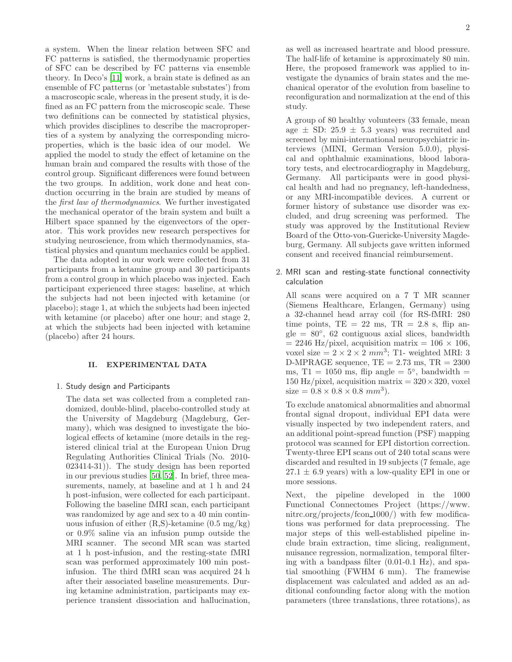a system. When the linear relation between SFC and FC patterns is satisfied, the thermodynamic properties of SFC can be described by FC patterns via ensemble theory. In Deco's [\[11\]](#page-7-6) work, a brain state is defined as an ensemble of FC patterns (or 'metastable substates') from a macroscopic scale, whereas in the present study, it is defined as an FC pattern from the microscopic scale. These two definitions can be connected by statistical physics, which provides disciplines to describe the macroproperties of a system by analyzing the corresponding microproperties, which is the basic idea of our model. We applied the model to study the effect of ketamine on the human brain and compared the results with those of the control group. Significant differences were found between the two groups. In addition, work done and heat conduction occurring in the brain are studied by means of the first law of thermodynamics. We further investigated the mechanical operator of the brain system and built a Hilbert space spanned by the eigenvectors of the operator. This work provides new research perspectives for studying neuroscience, from which thermodynamics, statistical physics and quantum mechanics could be applied.

The data adopted in our work were collected from 31 participants from a ketamine group and 30 participants from a control group in which placebo was injected. Each participant experienced three stages: baseline, at which the subjects had not been injected with ketamine (or placebo); stage 1, at which the subjects had been injected with ketamine (or placebo) after one hour; and stage 2, at which the subjects had been injected with ketamine (placebo) after 24 hours.

# II. EXPERIMENTAL DATA

## 1. Study design and Participants

The data set was collected from a completed randomized, double-blind, placebo-controlled study at the University of Magdeburg (Magdeburg, Germany), which was designed to investigate the biological effects of ketamine (more details in the registered clinical trial at the European Union Drug Regulating Authorities Clinical Trials (No. 2010- 023414-31)). The study design has been reported in our previous studies [\[50](#page-8-9), [52\]](#page-8-10). In brief, three measurements, namely, at baseline and at 1 h and 24 h post-infusion, were collected for each participant. Following the baseline fMRI scan, each participant was randomized by age and sex to a 40 min continuous infusion of either  $(R, S)$ -ketamine  $(0.5 \text{ mg/kg})$ or 0.9% saline via an infusion pump outside the MRI scanner. The second MR scan was started at 1 h post-infusion, and the resting-state fMRI scan was performed approximately 100 min postinfusion. The third fMRI scan was acquired 24 h after their associated baseline measurements. During ketamine administration, participants may experience transient dissociation and hallucination, as well as increased heartrate and blood pressure. The half-life of ketamine is approximately 80 min. Here, the proposed framework was applied to investigate the dynamics of brain states and the mechanical operator of the evolution from baseline to reconfiguration and normalization at the end of this study.

A group of 80 healthy volunteers (33 female, mean age  $\pm$  SD: 25.9  $\pm$  5.3 years) was recruited and screened by mini-international neuropsychiatric interviews (MINI, German Version 5.0.0), physical and ophthalmic examinations, blood laboratory tests, and electrocardiography in Magdeburg, Germany. All participants were in good physical health and had no pregnancy, left-handedness, or any MRI-incompatible devices. A current or former history of substance use disorder was excluded, and drug screening was performed. The study was approved by the Institutional Review Board of the Otto-von-Guericke-University Magdeburg, Germany. All subjects gave written informed consent and received financial reimbursement.

2. MRI scan and resting-state functional connectivity calculation

All scans were acquired on a 7 T MR scanner (Siemens Healthcare, Erlangen, Germany) using a 32-channel head array coil (for RS-fMRI: 280 time points,  $TE = 22$  ms,  $TR = 2.8$  s, flip an $gle = 80^\circ$ , 62 contiguous axial slices, bandwidth  $= 2246$  Hz/pixel, acquisition matrix  $= 106 \times 106$ , voxel size  $= 2 \times 2 \times 2$  mm<sup>3</sup>; T1- weighted MRI: 3 D-MPRAGE sequence,  $TE = 2.73$  ms,  $TR = 2300$ ms, T1 = 1050 ms, flip angle =  $5^{\circ}$ , bandwidth = 150 Hz/pixel, acquisition matrix  $= 320 \times 320$ , voxel  $size = 0.8 \times 0.8 \times 0.8 \, mm^3$ .

To exclude anatomical abnormalities and abnormal frontal signal dropout, individual EPI data were visually inspected by two independent raters, and an additional point-spread function (PSF) mapping protocol was scanned for EPI distortion correction. Twenty-three EPI scans out of 240 total scans were discarded and resulted in 19 subjects (7 female, age  $27.1 \pm 6.9$  years) with a low-quality EPI in one or more sessions.

Next, the pipeline developed in the 1000 Functional Connectomes Project (https://www. nitrc.org/projects/fcon 1000/) with few modifications was performed for data preprocessing. The major steps of this well-established pipeline include brain extraction, time slicing, realignment, nuisance regression, normalization, temporal filtering with a bandpass filter (0.01-0.1 Hz), and spatial smoothing (FWHM 6 mm). The framewise displacement was calculated and added as an additional confounding factor along with the motion parameters (three translations, three rotations), as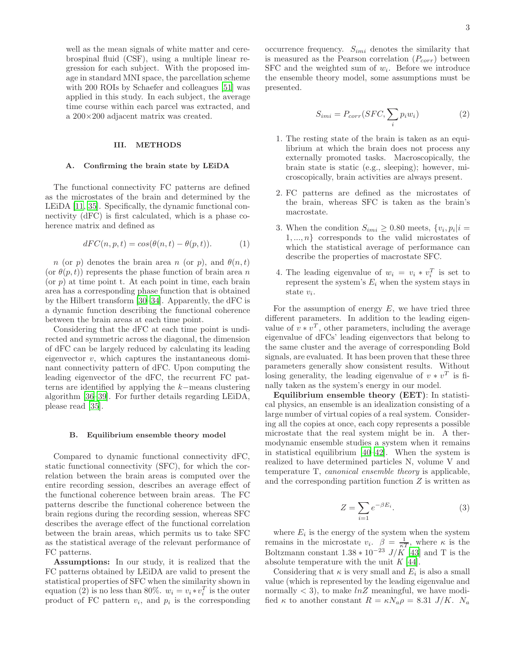well as the mean signals of white matter and cerebrospinal fluid (CSF), using a multiple linear regression for each subject. With the proposed image in standard MNI space, the parcellation scheme with 200 ROIs by Schaefer and colleagues [\[51](#page-8-11)] was applied in this study. In each subject, the average time course within each parcel was extracted, and a 200×200 adjacent matrix was created.

#### III. METHODS

#### A. Confirming the brain state by LEiDA

The functional connectivity FC patterns are defined as the microstates of the brain and determined by the LEiDA [\[11,](#page-7-6) [35\]](#page-8-8). Specifically, the dynamic functional connectivity (dFC) is first calculated, which is a phase coherence matrix and defined as

$$
dFC(n, p, t) = \cos(\theta(n, t) - \theta(p, t)).
$$
\n(1)

n (or p) denotes the brain area n (or p), and  $\theta(n,t)$ (or  $\theta(p,t)$ ) represents the phase function of brain area n  $($ or  $p)$  at time point t. At each point in time, each brain area has a corresponding phase function that is obtained by the Hilbert transform [\[30](#page-8-6)[–34\]](#page-8-7). Apparently, the dFC is a dynamic function describing the functional coherence between the brain areas at each time point.

Considering that the dFC at each time point is undirected and symmetric across the diagonal, the dimension of dFC can be largely reduced by calculating its leading eigenvector  $v$ , which captures the instantaneous dominant connectivity pattern of dFC. Upon computing the leading eigenvector of the dFC, the recurrent FC patterns are identified by applying the k−means clustering algorithm [\[36](#page-8-12)[–39](#page-8-13)]. For further details regarding LEiDA, please read [\[35](#page-8-8)].

#### B. Equilibrium ensemble theory model

Compared to dynamic functional connectivity dFC, static functional connectivity (SFC), for which the correlation between the brain areas is computed over the entire recording session, describes an average effect of the functional coherence between brain areas. The FC patterns describe the functional coherence between the brain regions during the recording session, whereas SFC describes the average effect of the functional correlation between the brain areas, which permits us to take SFC as the statistical average of the relevant performance of FC patterns.

Assumptions: In our study, it is realized that the FC patterns obtained by LEiDA are valid to present the statistical properties of SFC when the similarity shown in equation (2) is no less than 80%.  $w_i = v_i * v_i^T$  is the outer product of FC pattern  $v_i$ , and  $p_i$  is the corresponding

occurrence frequency.  $S_{imi}$  denotes the similarity that is measured as the Pearson correlation  $(P_{corr})$  between  $SFC$  and the weighted sum of  $w_i$ . Before we introduce the ensemble theory model, some assumptions must be presented.

$$
S_{imi} = P_{corr}(SFC, \sum_{i} p_i w_i)
$$
 (2)

- 1. The resting state of the brain is taken as an equilibrium at which the brain does not process any externally promoted tasks. Macroscopically, the brain state is static (e.g., sleeping); however, microscopically, brain activities are always present.
- 2. FC patterns are defined as the microstates of the brain, whereas SFC is taken as the brain's macrostate.
- 3. When the condition  $S_{imi} \geq 0.80$  meets,  $\{v_i, p_i | i =$  $1, \ldots, n$  corresponds to the valid microstates of which the statistical average of performance can describe the properties of macrostate SFC.
- 4. The leading eigenvalue of  $w_i = v_i * v_i^T$  is set to represent the system's  $E_i$  when the system stays in state  $v_i$ .

For the assumption of energy  $E$ , we have tried three different parameters. In addition to the leading eigenvalue of  $v * v^T$ , other parameters, including the average eigenvalue of dFCs' leading eigenvectors that belong to the same cluster and the average of corresponding Bold signals, are evaluated. It has been proven that these three parameters generally show consistent results. Without losing generality, the leading eigenvalue of  $v * v<sup>T</sup>$  is finally taken as the system's energy in our model.

Equilibrium ensemble theory (EET): In statistical physics, an ensemble is an idealization consisting of a large number of virtual copies of a real system. Considering all the copies at once, each copy represents a possible microstate that the real system might be in. A thermodynamic ensemble studies a system when it remains in statistical equilibrium [\[40](#page-8-14)[–42\]](#page-8-15). When the system is realized to have determined particles N, volume V and temperature T, canonical ensemble theory is applicable, and the corresponding partition function  $Z$  is written as

$$
Z = \sum_{i=1} e^{-\beta E_i}.
$$
 (3)

where  $E_i$  is the energy of the system when the system remains in the microstate  $v_i$ .  $\beta = \frac{1}{\kappa T}$ , where  $\kappa$  is the Boltzmann constant  $1.38 * 10^{-23} J/K$  [\[43](#page-8-16)] and T is the absolute temperature with the unit  $K$  [\[44\]](#page-8-17).

Considering that  $\kappa$  is very small and  $E_i$  is also a small value (which is represented by the leading eigenvalue and normally  $\langle 3 \rangle$ , to make  $\ln Z$  meaningful, we have modified  $\kappa$  to another constant  $R = \kappa N_a \rho = 8.31 \text{ J/K}$ .  $N_a$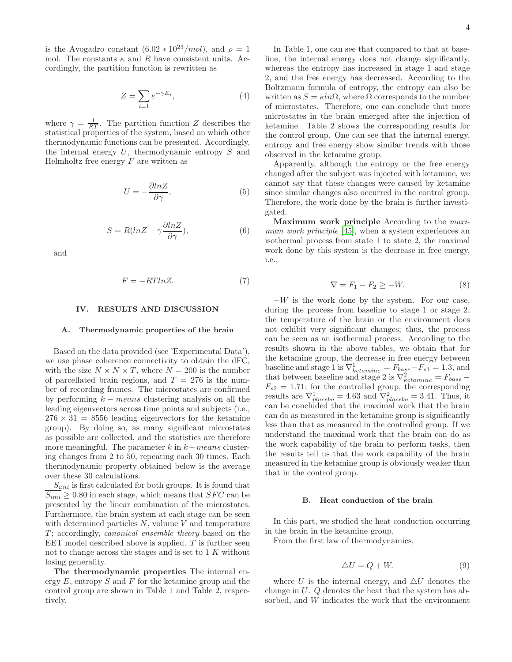is the Avogadro constant  $(6.02 * 10^{23}/mol)$ , and  $\rho = 1$ mol. The constants  $\kappa$  and R have consistent units. Accordingly, the partition function is rewritten as

$$
Z = \sum_{i=1} e^{-\gamma E_i},\tag{4}
$$

where  $\gamma = \frac{1}{RT}$ . The partition function Z describes the statistical properties of the system, based on which other thermodynamic functions can be presented. Accordingly, the internal energy  $U$ , thermodynamic entropy  $S$  and Helmholtz free energy  $F$  are written as

$$
U = -\frac{\partial \ln Z}{\partial \gamma},\tag{5}
$$

$$
S = R(lnZ - \gamma \frac{\partial lnZ}{\partial \gamma}),
$$
\n(6)

and

$$
F = -RTlnZ.
$$
 (7)

## IV. RESULTS AND DISCUSSION

#### A. Thermodynamic properties of the brain

Based on the data provided (see 'Experimental Data'), we use phase coherence connectivity to obtain the dFC, with the size  $N \times N \times T$ , where  $N = 200$  is the number of parcellated brain regions, and  $T = 276$  is the number of recording frames. The microstates are confirmed by performing  $k - \text{means}$  clustering analysis on all the leading eigenvectors across time points and subjects (i.e.,  $276 \times 31 = 8556$  leading eigenvectors for the ketamine group). By doing so, as many significant microstates as possible are collected, and the statistics are therefore more meaningful. The parameter  $k$  in  $k-means$  clustering changes from 2 to 50, repeating each 30 times. Each thermodynamic property obtained below is the average over these 30 calculations.

 $S_{imi}$  is first calculated for both groups. It is found that  $\overline{S_{imi}} \geq 0.80$  in each stage, which means that SFC can be presented by the linear combination of the microstates. Furthermore, the brain system at each stage can be seen with determined particles  $N$ , volume  $V$  and temperature  $T$ ; accordingly, *canonical ensemble theory* based on the EET model described above is applied.  $T$  is further seen not to change across the stages and is set to 1 K without losing generality.

The thermodynamic properties The internal energy  $E$ , entropy  $S$  and  $F$  for the ketamine group and the control group are shown in Table 1 and Table 2, respectively.

In Table 1, one can see that compared to that at baseline, the internal energy does not change significantly, whereas the entropy has increased in stage 1 and stage 2, and the free energy has decreased. According to the Boltzmann formula of entropy, the entropy can also be written as  $S = \kappa ln \Omega$ , where  $\Omega$  corresponds to the number of microstates. Therefore, one can conclude that more microstates in the brain emerged after the injection of ketamine. Table 2 shows the corresponding results for the control group. One can see that the internal energy, entropy and free energy show similar trends with those observed in the ketamine group.

Apparently, although the entropy or the free energy changed after the subject was injected with ketamine, we cannot say that these changes were caused by ketamine since similar changes also occurred in the control group. Therefore, the work done by the brain is further investigated.

Maximum work principle According to the maxi-mum work principle [\[45](#page-8-18)], when a system experiences an isothermal process from state 1 to state 2, the maximal work done by this system is the decrease in free energy, i.e.,

$$
\nabla = F_1 - F_2 \ge -W.\tag{8}
$$

 $-W$  is the work done by the system. For our case, during the process from baseline to stage 1 or stage 2, the temperature of the brain or the environment does not exhibit very significant changes; thus, the process can be seen as an isothermal process. According to the results shown in the above tables, we obtain that for the ketamine group, the decrease in free energy between baseline and stage 1 is  $\nabla^1_{ketamine} = F_{base} - F_{s1} = 1.3$ , and that between baseline and stage 2 is  $\nabla^2_{ketamine} = F_{base} F_{s2} = 1.71$ ; for the controlled group, the corresponding results are  $\nabla^1_{placebo} = 4.63$  and  $\nabla^2_{placebo} = 3.41$ . Thus, it can be concluded that the maximal work that the brain can do as measured in the ketamine group is significantly less than that as measured in the controlled group. If we understand the maximal work that the brain can do as the work capability of the brain to perform tasks, then the results tell us that the work capability of the brain measured in the ketamine group is obviously weaker than that in the control group.

#### B. Heat conduction of the brain

In this part, we studied the heat conduction occurring in the brain in the ketamine group.

From the first law of thermodynamics,

$$
\triangle U = Q + W.\tag{9}
$$

where U is the internal energy, and  $\Delta U$  denotes the change in U. Q denotes the heat that the system has absorbed, and W indicates the work that the environment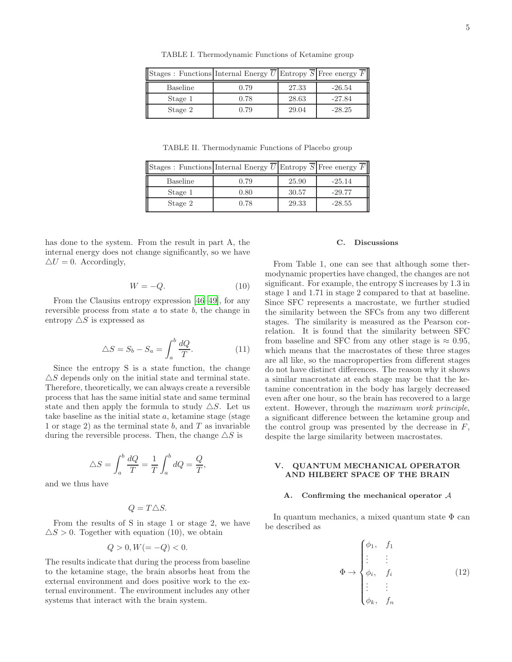Stages : Functions Internal Energy  $\overline{U}$  Entropy  $\overline{S}$  Free energy  $\overline{F}$ Baseline 1 0.79 27.33 -26.54 Stage 1 0.78 28.63 -27.84 Stage 2 0.79 29.04 -28.25

TABLE I. Thermodynamic Functions of Ketamine group

TABLE II. Thermodynamic Functions of Placebo group

| $\ \text{Stages}:$ Functions Internal Energy $\overline{U}$ Entropy $\overline{S}$ Free energy $\overline{F}$ |      |       |          |
|---------------------------------------------------------------------------------------------------------------|------|-------|----------|
| Baseline                                                                                                      | 0.79 | 25.90 | $-25.14$ |
| Stage 1                                                                                                       | 0.80 | 30.57 | $-29.77$ |
| Stage 2                                                                                                       | 0.78 | 29.33 | $-28.55$ |

has done to the system. From the result in part A, the internal energy does not change significantly, so we have  $\Delta U = 0$ . Accordingly,

$$
W = -Q.\t\t(10)
$$

From the Clausius entropy expression [\[46](#page-8-19)[–49\]](#page-8-20), for any reversible process from state a to state b, the change in entropy  $\triangle S$  is expressed as

$$
\triangle S = S_b - S_a = \int_a^b \frac{dQ}{T}.
$$
\n(11)

Since the entropy S is a state function, the change  $\triangle S$  depends only on the initial state and terminal state. Therefore, theoretically, we can always create a reversible process that has the same initial state and same terminal state and then apply the formula to study  $\triangle S$ . Let us take baseline as the initial state  $a$ , ketamine stage (stage) 1 or stage 2) as the terminal state b, and  $T$  as invariable during the reversible process. Then, the change  $\triangle S$  is

$$
\triangle S = \int_{a}^{b} \frac{dQ}{T} = \frac{1}{T} \int_{a}^{b} dQ = \frac{Q}{T},
$$

and we thus have

$$
Q = T \triangle S.
$$

From the results of S in stage 1 or stage 2, we have  $\Delta S > 0$ . Together with equation (10), we obtain

$$
Q > 0, W (= -Q) < 0.
$$

The results indicate that during the process from baseline to the ketamine stage, the brain absorbs heat from the external environment and does positive work to the external environment. The environment includes any other systems that interact with the brain system.

# C. Discussions

From Table 1, one can see that although some thermodynamic properties have changed, the changes are not significant. For example, the entropy S increases by 1.3 in stage 1 and 1.71 in stage 2 compared to that at baseline. Since SFC represents a macrostate, we further studied the similarity between the SFCs from any two different stages. The similarity is measured as the Pearson correlation. It is found that the similarity between SFC from baseline and SFC from any other stage is  $\approx 0.95$ , which means that the macrostates of these three stages are all like, so the macroproperties from different stages do not have distinct differences. The reason why it shows a similar macrostate at each stage may be that the ketamine concentration in the body has largely decreased even after one hour, so the brain has recovered to a large extent. However, through the maximum work principle, a significant difference between the ketamine group and the control group was presented by the decrease in  $F$ , despite the large similarity between macrostates.

## V. QUANTUM MECHANICAL OPERATOR AND HILBERT SPACE OF THE BRAIN

## A. Confirming the mechanical operator A

In quantum mechanics, a mixed quantum state  $\Phi$  can be described as

$$
\Phi \rightarrow \begin{cases}\n\phi_1, & f_1 \\
\vdots & \vdots \\
\phi_i, & f_i \\
\vdots & \vdots \\
\phi_k, & f_n\n\end{cases}
$$
\n(12)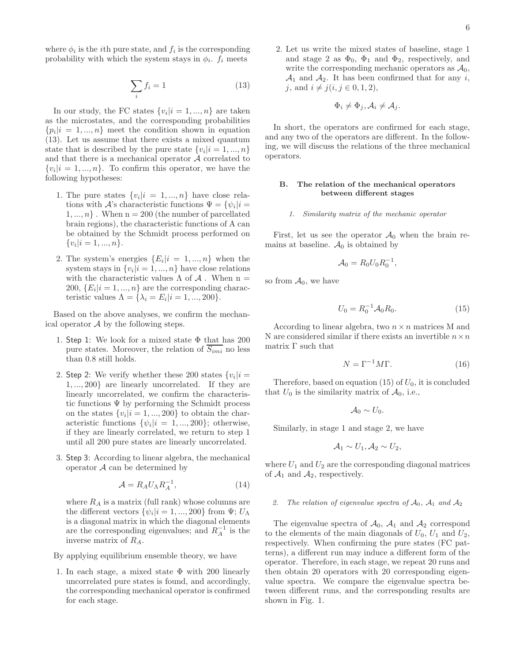where  $\phi_i$  is the *i*<sup>th</sup> pure state, and  $f_i$  is the corresponding probability with which the system stays in  $\phi_i$ .  $f_i$  meets

$$
\sum_{i} f_i = 1 \tag{13}
$$

In our study, the FC states  $\{v_i|i=1,...,n\}$  are taken as the microstates, and the corresponding probabilities  $\{p_i | i = 1, ..., n\}$  meet the condition shown in equation (13). Let us assume that there exists a mixed quantum state that is described by the pure state  $\{v_i | i = 1, ..., n\}$ and that there is a mechanical operator  $A$  correlated to  $\{v_i | i = 1, ..., n\}$ . To confirm this operator, we have the following hypotheses:

- 1. The pure states  $\{v_i | i = 1, ..., n\}$  have close relations with  $\mathcal{A}$ 's characteristic functions  $\Psi = {\psi_i | i = \emptyset}$  $1, ..., n$ . When  $n = 200$  (the number of parcellated brain regions), the characteristic functions of A can be obtained by the Schmidt process performed on  $\{v_i|i=1,...,n\}.$
- 2. The system's energies  $\{E_i|i=1,...,n\}$  when the system stays in  $\{v_i | i = 1, ..., n\}$  have close relations with the characteristic values  $\Lambda$  of  ${\mathcal A}$  . When  $n=$ 200,  $\{E_i|i=1,...,n\}$  are the corresponding characteristic values  $\Lambda = {\lambda_i = E_i | i = 1, ..., 200}.$

Based on the above analyses, we confirm the mechanical operator  $\mathcal A$  by the following steps.

- 1. Step 1: We look for a mixed state  $\Phi$  that has 200 pure states. Moreover, the relation of  $\overline{S_{imi}}$  no less than 0.8 still holds.
- 2. Step 2: We verify whether these 200 states  $\{v_i|i =$ 1, ..., 200} are linearly uncorrelated. If they are linearly uncorrelated, we confirm the characteristic functions  $\Psi$  by performing the Schmidt process on the states  $\{v_i|i=1,...,200\}$  to obtain the characteristic functions  $\{\psi_i|i=1,...,200\}$ ; otherwise, if they are linearly correlated, we return to step 1 until all 200 pure states are linearly uncorrelated.
- 3. Step 3: According to linear algebra, the mechanical operator  $A$  can be determined by

$$
\mathcal{A} = R_A U_\Lambda R_A^{-1},\tag{14}
$$

where  $R_A$  is a matrix (full rank) whose columns are the different vectors  $\{\psi_i|i=1,...,200\}$  from  $\Psi$ ;  $U_{\Lambda}$ is a diagonal matrix in which the diagonal elements are the corresponding eigenvalues; and  $R_A^{-1}$  $A^{\text{-1}}$  is the inverse matrix of  $R_A$ .

By applying equilibrium ensemble theory, we have

1. In each stage, a mixed state  $\Phi$  with 200 linearly uncorrelated pure states is found, and accordingly, the corresponding mechanical operator is confirmed for each stage.

2. Let us write the mixed states of baseline, stage 1 and stage 2 as  $\Phi_0$ ,  $\Phi_1$  and  $\Phi_2$ , respectively, and write the corresponding mechanic operators as  $A_0$ ,  $\mathcal{A}_1$  and  $\mathcal{A}_2$ . It has been confirmed that for any i, j, and  $i \neq j$  $(i, j \in 0, 1, 2),$ 

$$
\Phi_i \neq \Phi_j, \mathcal{A}_i \neq \mathcal{A}_j.
$$

In short, the operators are confirmed for each stage, and any two of the operators are different. In the following, we will discuss the relations of the three mechanical operators.

### B. The relation of the mechanical operators between different stages

1. Similarity matrix of the mechanic operator

First, let us see the operator  $\mathcal{A}_0$  when the brain remains at baseline.  $A_0$  is obtained by

$$
\mathcal{A}_0 = R_0 U_0 R_0^{-1},
$$

so from  $A_0$ , we have

$$
U_0 = R_0^{-1} \mathcal{A}_0 R_0. \tag{15}
$$

According to linear algebra, two  $n \times n$  matrices M and N are considered similar if there exists an invertible  $n \times n$ matrix Γ such that

$$
N = \Gamma^{-1} M \Gamma.
$$
 (16)

Therefore, based on equation (15) of  $U_0$ , it is concluded that  $U_0$  is the similarity matrix of  $\mathcal{A}_0$ , i.e.,

$$
\mathcal{A}_0 \sim U_0.
$$

Similarly, in stage 1 and stage 2, we have

$$
A_1 \sim U_1, A_2 \sim U_2,
$$

where  $U_1$  and  $U_2$  are the corresponding diagonal matrices of  $\mathcal{A}_1$  and  $\mathcal{A}_2$ , respectively.

#### The relation of eigenvalue spectra of  $A_0$ ,  $A_1$  and  $A_2$

The eigenvalue spectra of  $A_0$ ,  $A_1$  and  $A_2$  correspond to the elements of the main diagonals of  $U_0$ ,  $U_1$  and  $U_2$ , respectively. When confirming the pure states (FC patterns), a different run may induce a different form of the operator. Therefore, in each stage, we repeat 20 runs and then obtain 20 operators with 20 corresponding eigenvalue spectra. We compare the eigenvalue spectra between different runs, and the corresponding results are shown in Fig. 1.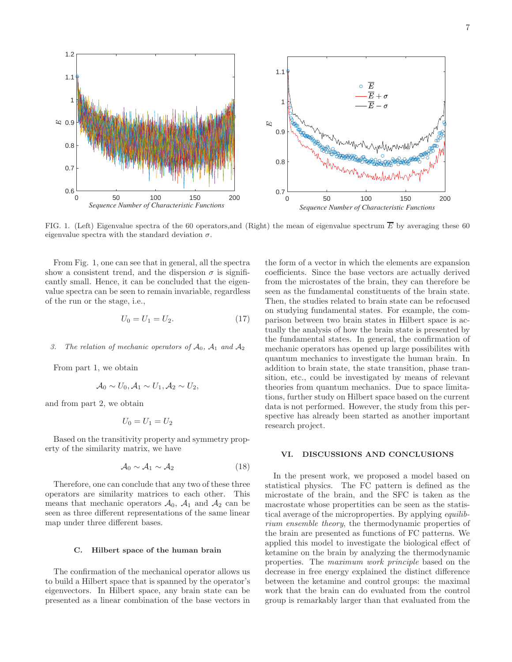

FIG. 1. (Left) Eigenvalue spectra of the 60 operators, and (Right) the mean of eigenvalue spectrum  $\overline{E}$  by averaging these 60 eigenvalue spectra with the standard deviation  $\sigma$ .

From Fig. 1, one can see that in general, all the spectra show a consistent trend, and the dispersion  $\sigma$  is significantly small. Hence, it can be concluded that the eigenvalue spectra can be seen to remain invariable, regardless of the run or the stage, i.e.,

$$
U_0 = U_1 = U_2. \t\t(17)
$$

### 3. The relation of mechanic operators of  $A_0$ ,  $A_1$  and  $A_2$

From part 1, we obtain

$$
\mathcal{A}_0 \sim U_0, \mathcal{A}_1 \sim U_1, \mathcal{A}_2 \sim U_2,
$$

and from part 2, we obtain

$$
U_0=U_1=U_2
$$

Based on the transitivity property and symmetry property of the similarity matrix, we have

$$
\mathcal{A}_0 \sim \mathcal{A}_1 \sim \mathcal{A}_2 \tag{18}
$$

Therefore, one can conclude that any two of these three operators are similarity matrices to each other. This means that mechanic operators  $A_0$ ,  $A_1$  and  $A_2$  can be seen as three different representations of the same linear map under three different bases.

## C. Hilbert space of the human brain

The confirmation of the mechanical operator allows us to build a Hilbert space that is spanned by the operator's eigenvectors. In Hilbert space, any brain state can be presented as a linear combination of the base vectors in

the form of a vector in which the elements are expansion coefficients. Since the base vectors are actually derived from the microstates of the brain, they can therefore be seen as the fundamental constituents of the brain state. Then, the studies related to brain state can be refocused on studying fundamental states. For example, the comparison between two brain states in Hilbert space is actually the analysis of how the brain state is presented by the fundamental states. In general, the confirmation of mechanic operators has opened up large possibilites with quantum mechanics to investigate the human brain. In addition to brain state, the state transition, phase transition, etc., could be investigated by means of relevant theories from quantum mechanics. Due to space limitations, further study on Hilbert space based on the current data is not performed. However, the study from this perspective has already been started as another important research project.

## VI. DISCUSSIONS AND CONCLUSIONS

In the present work, we proposed a model based on statistical physics. The FC pattern is defined as the microstate of the brain, and the SFC is taken as the macrostate whose propertities can be seen as the statistical average of the microproperties. By applying equilibrium ensemble theory, the thermodynamic properties of the brain are presented as functions of FC patterns. We applied this model to investigate the biological effect of ketamine on the brain by analyzing the thermodynamic properties. The maximum work principle based on the decrease in free energy explained the distinct difference between the ketamine and control groups: the maximal work that the brain can do evaluated from the control group is remarkably larger than that evaluated from the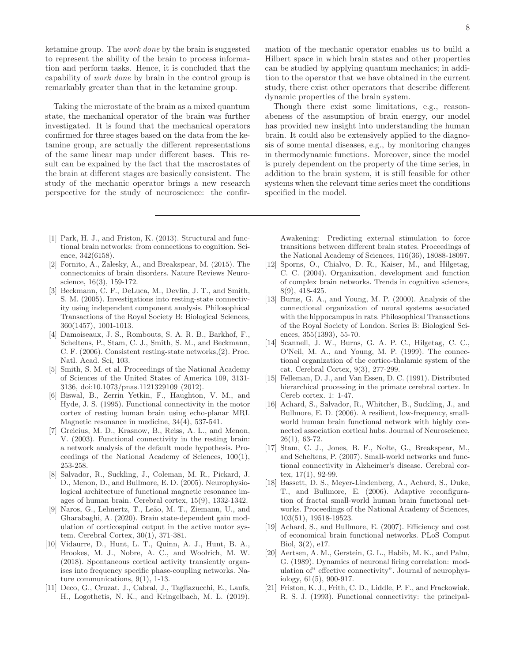ketamine group. The work done by the brain is suggested to represent the ability of the brain to process information and perform tasks. Hence, it is concluded that the capability of work done by brain in the control group is remarkably greater than that in the ketamine group.

Taking the microstate of the brain as a mixed quantum state, the mechanical operator of the brain was further investigated. It is found that the mechanical operators confirmed for three stages based on the data from the ketamine group, are actually the different representations of the same linear map under different bases. This result can be expained by the fact that the macrostates of the brain at different stages are basically consistent. The study of the mechanic operator brings a new research perspective for the study of neuroscience: the confir-

- <span id="page-7-0"></span>[1] Park, H. J., and Friston, K. (2013). Structural and functional brain networks: from connections to cognition. Science, 342(6158).
- <span id="page-7-1"></span>[2] Fornito, A., Zalesky, A., and Breakspear, M. (2015). The connectomics of brain disorders. Nature Reviews Neuroscience, 16(3), 159-172.
- <span id="page-7-2"></span>[3] Beckmann, C. F., DeLuca, M., Devlin, J. T., and Smith, S. M. (2005). Investigations into resting-state connectivity using independent component analysis. Philosophical Transactions of the Royal Society B: Biological Sciences, 360(1457), 1001-1013.
- <span id="page-7-4"></span>[4] Damoiseaux, J. S., Rombouts, S. A. R. B., Barkhof, F., Scheltens, P., Stam, C. J., Smith, S. M., and Beckmann, C. F. (2006). Consistent resting-state networks,(2). Proc. Natl. Acad. Sci, 103.
- <span id="page-7-3"></span>[5] Smith, S. M. et al. Proceedings of the National Academy of Sciences of the United States of America 109, 3131- 3136, doi:10.1073/pnas.1121329109 (2012).
- <span id="page-7-5"></span>[6] Biswal, B., Zerrin Yetkin, F., Haughton, V. M., and Hyde, J. S. (1995). Functional connectivity in the motor cortex of resting human brain using echo-planar MRI. Magnetic resonance in medicine, 34(4), 537-541.
- [7] Greicius, M. D., Krasnow, B., Reiss, A. L., and Menon, V. (2003). Functional connectivity in the resting brain: a network analysis of the default mode hypothesis. Proceedings of the National Academy of Sciences, 100(1), 253-258.
- [8] Salvador, R., Suckling, J., Coleman, M. R., Pickard, J. D., Menon, D., and Bullmore, E. D. (2005). Neurophysiological architecture of functional magnetic resonance images of human brain. Cerebral cortex, 15(9), 1332-1342.
- [9] Naros, G., Lehnertz, T., Leão, M. T., Ziemann, U., and Gharabaghi, A. (2020). Brain state-dependent gain modulation of corticospinal output in the active motor system. Cerebral Cortex, 30(1), 371-381.
- [10] Vidaurre, D., Hunt, L. T., Quinn, A. J., Hunt, B. A., Brookes, M. J., Nobre, A. C., and Woolrich, M. W. (2018). Spontaneous cortical activity transiently organises into frequency specific phase-coupling networks. Nature communications, 9(1), 1-13.
- <span id="page-7-6"></span>[11] Deco, G., Cruzat, J., Cabral, J., Tagliazucchi, E., Laufs, H., Logothetis, N. K., and Kringelbach, M. L. (2019).

mation of the mechanic operator enables us to build a Hilbert space in which brain states and other properties can be studied by applying quantum mechanics; in addition to the operator that we have obtained in the current study, there exist other operators that describe different dynamic properties of the brain system.

Though there exist some limitations, e.g., reasonabeness of the assumption of brain energy, our model has provided new insight into understanding the human brain. It could also be extensively applied to the diagnosis of some mental diseases, e.g., by monitoring changes in thermodynamic functions. Moreover, since the model is purely dependent on the property of the time series, in addition to the brain system, it is still feasible for other systems when the relevant time series meet the conditions specified in the model.

Awakening: Predicting external stimulation to force transitions between different brain states. Proceedings of the National Academy of Sciences, 116(36), 18088-18097.

- <span id="page-7-7"></span>[12] Sporns, O., Chialvo, D. R., Kaiser, M., and Hilgetag, C. C. (2004). Organization, development and function of complex brain networks. Trends in cognitive sciences, 8(9), 418-425.
- [13] Burns, G. A., and Young, M. P. (2000). Analysis of the connectional organization of neural systems associated with the hippocampus in rats. Philosophical Transactions of the Royal Society of London. Series B: Biological Sciences, 355(1393), 55-70.
- [14] Scannell, J. W., Burns, G. A. P. C., Hilgetag, C. C., O'Neil, M. A., and Young, M. P. (1999). The connectional organization of the cortico-thalamic system of the cat. Cerebral Cortex, 9(3), 277-299.
- <span id="page-7-8"></span>[15] Felleman, D. J., and Van Essen, D. C. (1991). Distributed hierarchical processing in the primate cerebral cortex. In Cereb cortex. 1: 1-47.
- <span id="page-7-9"></span>[16] Achard, S., Salvador, R., Whitcher, B., Suckling, J., and Bullmore, E. D. (2006). A resilient, low-frequency, smallworld human brain functional network with highly connected association cortical hubs. Journal of Neuroscience, 26(1), 63-72.
- [17] Stam, C. J., Jones, B. F., Nolte, G., Breakspear, M., and Scheltens, P. (2007). Small-world networks and functional connectivity in Alzheimer's disease. Cerebral cortex, 17(1), 92-99.
- [18] Bassett, D. S., Meyer-Lindenberg, A., Achard, S., Duke, T., and Bullmore, E. (2006). Adaptive reconfiguration of fractal small-world human brain functional networks. Proceedings of the National Academy of Sciences, 103(51), 19518-19523.
- <span id="page-7-10"></span>[19] Achard, S., and Bullmore, E. (2007). Efficiency and cost of economical brain functional networks. PLoS Comput Biol, 3(2), e17.
- <span id="page-7-11"></span>[20] Aertsen, A. M., Gerstein, G. L., Habib, M. K., and Palm, G. (1989). Dynamics of neuronal firing correlation: modulation of" effective connectivity". Journal of neurophysiology, 61(5), 900-917.
- <span id="page-7-12"></span>[21] Friston, K. J., Frith, C. D., Liddle, P. F., and Frackowiak, R. S. J. (1993). Functional connectivity: the principal-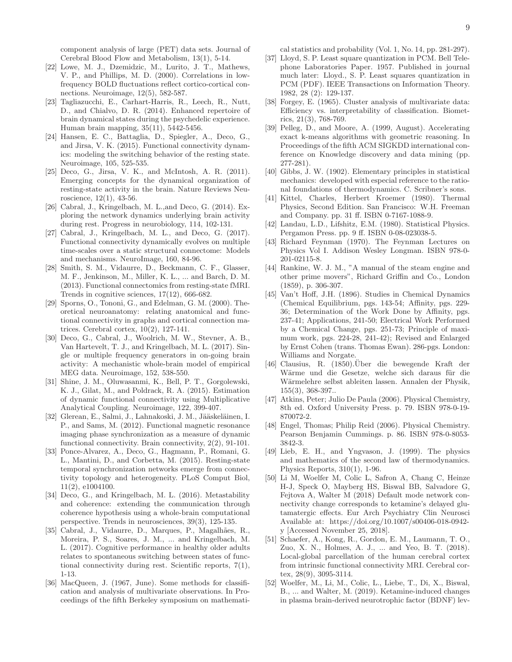component analysis of large (PET) data sets. Journal of Cerebral Blood Flow and Metabolism, 13(1), 5-14.

- <span id="page-8-0"></span>[22] Lowe, M. J., Dzemidzic, M., Lurito, J. T., Mathews, V. P., and Phillips, M. D. (2000). Correlations in lowfrequency BOLD fluctuations reflect cortico-cortical connections. Neuroimage, 12(5), 582-587.
- <span id="page-8-1"></span>[23] Tagliazucchi, E., Carhart-Harris, R., Leech, R., Nutt, D., and Chialvo, D. R. (2014). Enhanced repertoire of brain dynamical states during the psychedelic experience. Human brain mapping, 35(11), 5442-5456.
- <span id="page-8-2"></span>[24] Hansen, E. C., Battaglia, D., Spiegler, A., Deco, G., and Jirsa, V. K. (2015). Functional connectivity dynamics: modeling the switching behavior of the resting state. Neuroimage, 105, 525-535.
- [25] Deco, G., Jirsa, V. K., and McIntosh, A. R. (2011). Emerging concepts for the dynamical organization of resting-state activity in the brain. Nature Reviews Neuroscience, 12(1), 43-56.
- [26] Cabral, J., Kringelbach, M. L.,and Deco, G. (2014). Exploring the network dynamics underlying brain activity during rest. Progress in neurobiology, 114, 102-131.
- <span id="page-8-3"></span>[27] Cabral, J., Kringelbach, M. L., and Deco, G. (2017). Functional connectivity dynamically evolves on multiple time-scales over a static structural connectome: Models and mechanisms. NeuroImage, 160, 84-96.
- <span id="page-8-4"></span>[28] Smith, S. M., Vidaurre, D., Beckmann, C. F., Glasser, M. F., Jenkinson, M., Miller, K. L., ... and Barch, D. M. (2013). Functional connectomics from resting-state fMRI. Trends in cognitive sciences, 17(12), 666-682.
- <span id="page-8-5"></span>[29] Sporns, O., Tononi, G., and Edelman, G. M. (2000). Theoretical neuroanatomy: relating anatomical and functional connectivity in graphs and cortical connection matrices. Cerebral cortex, 10(2), 127-141.
- <span id="page-8-6"></span>[30] Deco, G., Cabral, J., Woolrich, M. W., Stevner, A. B., Van Hartevelt, T. J., and Kringelbach, M. L. (2017). Single or multiple frequency generators in on-going brain activity: A mechanistic whole-brain model of empirical MEG data. Neuroimage, 152, 538-550.
- [31] Shine, J. M., Oluwasanmi, K., Bell, P. T., Gorgolewski, K. J., Gilat, M., and Poldrack, R. A. (2015). Estimation of dynamic functional connectivity using Multiplicative Analytical Coupling. Neuroimage, 122, 399-407.
- [32] Glerean, E., Salmi, J., Lahnakoski, J. M., Jääskeläinen, I. P., and Sams, M. (2012). Functional magnetic resonance imaging phase synchronization as a measure of dynamic functional connectivity. Brain connectivity, 2(2), 91-101.
- [33] Ponce-Alvarez, A., Deco, G., Hagmann, P., Romani, G. L., Mantini, D., and Corbetta, M. (2015). Resting-state temporal synchronization networks emerge from connectivity topology and heterogeneity. PLoS Comput Biol, 11(2), e1004100.
- <span id="page-8-7"></span>[34] Deco, G., and Kringelbach, M. L. (2016). Metastability and coherence: extending the communication through coherence hypothesis using a whole-brain computational perspective. Trends in neurosciences, 39(3), 125-135.
- <span id="page-8-8"></span>[35] Cabral, J., Vidaurre, D., Marques, P., Magalhães, R., Moreira, P. S., Soares, J. M., ... and Kringelbach, M. L. (2017). Cognitive performance in healthy older adults relates to spontaneous switching between states of functional connectivity during rest. Scientific reports, 7(1), 1-13.
- <span id="page-8-12"></span>[36] MacQueen, J. (1967, June). Some methods for classification and analysis of multivariate observations. In Proceedings of the fifth Berkeley symposium on mathemati-

cal statistics and probability (Vol. 1, No. 14, pp. 281-297).

- [37] Lloyd, S. P. Least square quantization in PCM. Bell Telephone Laboratories Paper. 1957. Published in journal much later: Lloyd., S. P. Least squares quantization in PCM (PDF). IEEE Transactions on Information Theory. 1982, 28 (2): 129-137.
- [38] Forgey, E. (1965). Cluster analysis of multivariate data: Efficiency vs. interpretability of classification. Biometrics, 21(3), 768-769.
- <span id="page-8-13"></span>[39] Pelleg, D., and Moore, A. (1999, August). Accelerating exact k-means algorithms with geometric reasoning. In Proceedings of the fifth ACM SIGKDD international conference on Knowledge discovery and data mining (pp. 277-281).
- <span id="page-8-14"></span>[40] Gibbs, J. W. (1902). Elementary principles in statistical mechanics: developed with especial reference to the rational foundations of thermodynamics. C. Scribner's sons.
- [41] Kittel, Charles, Herbert Kroemer (1980). Thermal Physics, Second Edition. San Francisco: W.H. Freeman and Company. pp. 31 ff. ISBN 0-7167-1088-9.
- <span id="page-8-15"></span>[42] Landau, L.D., Lifshitz, E.M. (1980). Statistical Physics. Pergamon Press. pp. 9 ff. ISBN 0-08-023038-5.
- <span id="page-8-16"></span>[43] Richard Feynman (1970). The Feynman Lectures on Physics Vol I. Addison Wesley Longman. ISBN 978-0- 201-02115-8.
- <span id="page-8-17"></span>[44] Rankine, W. J. M., "A manual of the steam engine and other prime movers", Richard Griffin and Co., London (1859), p. 306-307.
- <span id="page-8-18"></span>[45] Van't Hoff, J.H. (1896). Studies in Chemical Dynamics (Chemical Equilibrium, pgs. 143-54; Affinity, pgs. 229- 36; Determination of the Work Done by Affinity, pgs. 237-41; Applications, 241-50; Electrical Work Performed by a Chemical Change, pgs. 251-73; Principle of maximum work, pgs. 224-28, 241-42); Revised and Enlarged by Ernst Cohen (trans. Thomas Ewan). 286-pgs. London: Williams and Norgate.
- <span id="page-8-19"></span>[46] Clausius, R.  $(1850)$ . Über die bewegende Kraft der Wärme und die Gesetze, welche sich daraus für die Wärmelehre selbst ableiten lassen. Annalen der Physik, 155(3), 368-397..
- [47] Atkins, Peter; Julio De Paula (2006). Physical Chemistry, 8th ed. Oxford University Press. p. 79. ISBN 978-0-19- 870072-2.
- [48] Engel, Thomas; Philip Reid (2006). Physical Chemistry. Pearson Benjamin Cummings. p. 86. ISBN 978-0-8053- 3842-3.
- <span id="page-8-20"></span>[49] Lieb, E. H., and Yngvason, J. (1999). The physics and mathematics of the second law of thermodynamics. Physics Reports, 310(1), 1-96.
- <span id="page-8-9"></span>[50] Li M, Woelfer M, Colic L, Safron A, Chang C, Heinze H-J, Speck O, Mayberg HS, Biswal BB, Salvadore G, Fejtova A, Walter M (2018) Default mode network connectivity change corresponds to ketamine's delayed glutamatergic effects. Eur Arch Psychiatry Clin Neurosci Available at: https://doi.org/10.1007/s00406-018-0942 y [Accessed November 25, 2018].
- <span id="page-8-11"></span>[51] Schaefer, A., Kong, R., Gordon, E. M., Laumann, T. O., Zuo, X. N., Holmes, A. J., ... and Yeo, B. T. (2018). Local-global parcellation of the human cerebral cortex from intrinsic functional connectivity MRI. Cerebral cortex, 28(9), 3095-3114.
- <span id="page-8-10"></span>[52] Woelfer, M., Li, M., Colic, L., Liebe, T., Di, X., Biswal, B., ... and Walter, M. (2019). Ketamine-induced changes in plasma brain-derived neurotrophic factor (BDNF) lev-